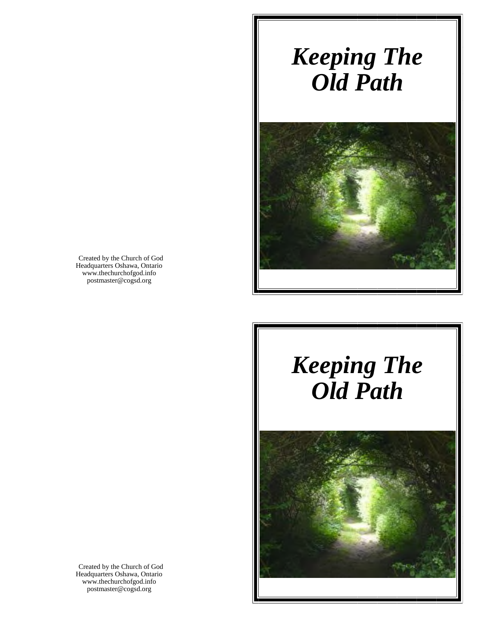# *Keeping The Old Path*



Created by the Church of God Headquarters Oshawa, Ontario www.thechurchofgod.info postmaster@cogsd.org

# *Keeping The Old Path*



Created by the Church of God Headquarters Oshawa, Ontario www.thechurchofgod.info postmaster@cogsd.org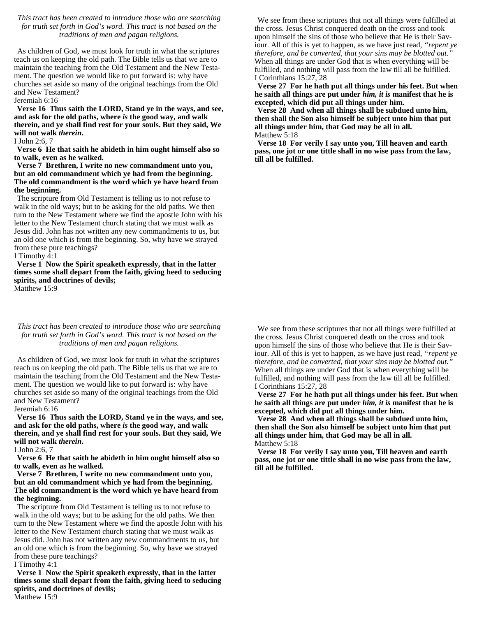## *This tract has been created to introduce those who are searching for truth set forth in God's word. This tract is not based on the traditions of men and pagan religions.*

As children of God, we must look for truth in what the scriptures teach us on keeping the old path. The Bible tells us that we are to maintain the teaching from the Old Testament and the New Testament. The question we would like to put forward is: why have churches set aside so many of the original teachings from the Old and New Testament?

Jeremiah 6:16

**Verse 16 Thus saith the LORD, Stand ye in the ways, and see, and ask for the old paths, where** *is* **the good way, and walk therein, and ye shall find rest for your souls. But they said, We will not walk** *therein***.**

#### I John 2:6, 7

**Verse 6 He that saith he abideth in him ought himself also so to walk, even as he walked.**

#### **Verse 7 Brethren, I write no new commandment unto you, but an old commandment which ye had from the beginning. The old commandment is the word which ye have heard from the beginning.**

The scripture from Old Testament is telling us to not refuse to walk in the old ways; but to be asking for the old paths. We then turn to the New Testament where we find the apostle John with his letter to the New Testament church stating that we must walk as Jesus did. John has not written any new commandments to us, but an old one which is from the beginning. So, why have we strayed from these pure teachings?

I Timothy 4:1

**Verse 1 Now the Spirit speaketh expressly, that in the latter times some shall depart from the faith, giving heed to seducing spirits, and doctrines of devils;** Matthew 15:9

#### *This tract has been created to introduce those who are searching for truth set forth in God's word. This tract is not based on the traditions of men and pagan religions.*

As children of God, we must look for truth in what the scriptures teach us on keeping the old path. The Bible tells us that we are to maintain the teaching from the Old Testament and the New Testament. The question we would like to put forward is: why have churches set aside so many of the original teachings from the Old and New Testament?

Jeremiah 6:16

**Verse 16 Thus saith the LORD, Stand ye in the ways, and see, and ask for the old paths, where** *is* **the good way, and walk therein, and ye shall find rest for your souls. But they said, We will not walk** *therein***.**

I John 2:6, 7

**Verse 6 He that saith he abideth in him ought himself also so to walk, even as he walked.**

### **Verse 7 Brethren, I write no new commandment unto you, but an old commandment which ye had from the beginning. The old commandment is the word which ye have heard from the beginning.**

The scripture from Old Testament is telling us to not refuse to walk in the old ways; but to be asking for the old paths. We then turn to the New Testament where we find the apostle John with his letter to the New Testament church stating that we must walk as Jesus did. John has not written any new commandments to us, but an old one which is from the beginning. So, why have we strayed from these pure teachings?

I Timothy 4:1

**Verse 1 Now the Spirit speaketh expressly, that in the latter times some shall depart from the faith, giving heed to seducing spirits, and doctrines of devils;** Matthew 15:9

We see from these scriptures that not all things were fulfilled at the cross. Jesus Christ conquered death on the cross and took upon himself the sins of those who believe that He is their Saviour. All of this is yet to happen, as we have just read, *"repent ye therefore, and be converted, that your sins may be blotted out."*  When all things are under God that is when everything will be fulfilled, and nothing will pass from the law till all be fulfilled. I Corinthians 15:27, 28

**Verse 27 For he hath put all things under his feet. But when he saith all things are put under** *him, it is* **manifest that he is excepted, which did put all things under him.**

**Verse 28 And when all things shall be subdued unto him, then shall the Son also himself be subject unto him that put all things under him, that God may be all in all.** Matthew 5:18

**Verse 18 For verily I say unto you, Till heaven and earth pass, one jot or one tittle shall in no wise pass from the law, till all be fulfilled.**

We see from these scriptures that not all things were fulfilled at the cross. Jesus Christ conquered death on the cross and took upon himself the sins of those who believe that He is their Saviour. All of this is yet to happen, as we have just read, *"repent ye therefore, and be converted, that your sins may be blotted out."*  When all things are under God that is when everything will be fulfilled, and nothing will pass from the law till all be fulfilled. I Corinthians 15:27, 28

**Verse 27 For he hath put all things under his feet. But when he saith all things are put under** *him, it is* **manifest that he is excepted, which did put all things under him.**

**Verse 28 And when all things shall be subdued unto him, then shall the Son also himself be subject unto him that put all things under him, that God may be all in all.** Matthew 5:18

**Verse 18 For verily I say unto you, Till heaven and earth pass, one jot or one tittle shall in no wise pass from the law, till all be fulfilled.**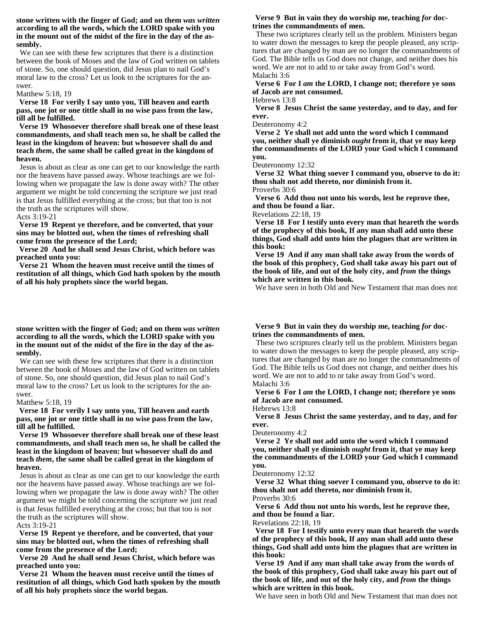## **stone written with the finger of God; and on them** *was written* **according to all the words, which the LORD spake with you in the mount out of the midst of the fire in the day of the assembly.**

We can see with these few scriptures that there is a distinction between the book of Moses and the law of God written on tablets of stone. So, one should question, did Jesus plan to nail God's moral law to the cross? Let us look to the scriptures for the answer.

#### Matthew 5:18, 19

**Verse 18 For verily I say unto you, Till heaven and earth pass, one jot or one tittle shall in no wise pass from the law, till all be fulfilled.**

**Verse 19 Whosoever therefore shall break one of these least commandments, and shall teach men so, he shall be called the least in the kingdom of heaven: but whosoever shall do and teach** *them***, the same shall be called great in the kingdom of heaven.**

Jesus is about as clear as one can get to our knowledge the earth nor the heavens have passed away. Whose teachings are we following when we propagate the law is done away with? The other argument we might be told concerning the scripture we just read is that Jesus fulfilled everything at the cross; but that too is not the truth as the scriptures will show.

Acts 3:19-21

**Verse 19 Repent ye therefore, and be converted, that your sins may be blotted out, when the times of refreshing shall come from the presence of the Lord;**

**Verse 20 And he shall send Jesus Christ, which before was preached unto you:**

**Verse 21 Whom the heaven must receive until the times of restitution of all things, which God hath spoken by the mouth of all his holy prophets since the world began.**

#### **stone written with the finger of God; and on them** *was written* **according to all the words, which the LORD spake with you in the mount out of the midst of the fire in the day of the assembly.**

We can see with these few scriptures that there is a distinction between the book of Moses and the law of God written on tablets of stone. So, one should question, did Jesus plan to nail God's moral law to the cross? Let us look to the scriptures for the answer.

#### Matthew 5:18, 19

**Verse 18 For verily I say unto you, Till heaven and earth pass, one jot or one tittle shall in no wise pass from the law, till all be fulfilled.**

**Verse 19 Whosoever therefore shall break one of these least commandments, and shall teach men so, he shall be called the least in the kingdom of heaven: but whosoever shall do and teach** *them***, the same shall be called great in the kingdom of heaven.**

Jesus is about as clear as one can get to our knowledge the earth nor the heavens have passed away. Whose teachings are we following when we propagate the law is done away with? The other argument we might be told concerning the scripture we just read is that Jesus fulfilled everything at the cross; but that too is not the truth as the scriptures will show.

Acts 3:19-21

**Verse 19 Repent ye therefore, and be converted, that your sins may be blotted out, when the times of refreshing shall come from the presence of the Lord;**

**Verse 20 And he shall send Jesus Christ, which before was preached unto you:**

**Verse 21 Whom the heaven must receive until the times of restitution of all things, which God hath spoken by the mouth of all his holy prophets since the world began.**

### **Verse 9 But in vain they do worship me, teaching for doctrines the commandments of men.**

These two scriptures clearly tell us the problem. Ministers began to water down the messages to keep the people pleased, any scriptures that are changed by man are no longer the commandments of God. The Bible tells us God does not change, and neither does his word. We are not to add to or take away from God's word. Malachi 3:6

**Verse 6 For I** *am* **the LORD, I change not; therefore ye sons of Jacob are not consumed.**

Hebrews 13:8

**Verse 8 Jesus Christ the same yesterday, and to day, and for ever.**

Deuteronomy 4:2

**Verse 2 Ye shall not add unto the word which I command you, neither shall ye diminish** *ought* **from it, that ye may keep the commandments of the LORD your God which I command you.**

Deuteronomy 12:32

**Verse 32 What thing soever I command you, observe to do it: thou shalt not add thereto, nor diminish from it.** Proverbs 30:6

**Verse 6 Add thou not unto his words, lest he reprove thee, and thou be found a liar.**

Revelations 22:18, 19

**Verse 18 For I testify unto every man that heareth the words of the prophecy of this book, If any man shall add unto these things, God shall add unto him the plagues that are written in this book:**

**Verse 19 And if any man shall take away from the words of the book of this prophecy, God shall take away his part out of the book of life, and out of the holy city, and** *from* **the things which are written in this book.**

We have seen in both Old and New Testament that man does not

# **Verse 9 But in vain they do worship me, teaching for doctrines the commandments of men.**

These two scriptures clearly tell us the problem. Ministers began to water down the messages to keep the people pleased, any scriptures that are changed by man are no longer the commandments of God. The Bible tells us God does not change, and neither does his word. We are not to add to or take away from God's word. Malachi 3:6

**Verse 6 For I** *am* **the LORD, I change not; therefore ye sons of Jacob are not consumed.**

Hebrews 13:8

**Verse 8 Jesus Christ the same yesterday, and to day, and for ever.**

Deuteronomy 4:2

**Verse 2 Ye shall not add unto the word which I command you, neither shall ye diminish** *ought* **from it, that ye may keep the commandments of the LORD your God which I command you.**

Deuteronomy 12:32

**Verse 32 What thing soever I command you, observe to do it: thou shalt not add thereto, nor diminish from it.** Proverbs 30:6

**Verse 6 Add thou not unto his words, lest he reprove thee, and thou be found a liar.**

Revelations 22:18, 19

**Verse 18 For I testify unto every man that heareth the words of the prophecy of this book, If any man shall add unto these things, God shall add unto him the plagues that are written in this book:**

**Verse 19 And if any man shall take away from the words of the book of this prophecy, God shall take away his part out of the book of life, and out of the holy city, and** *from* **the things which are written in this book.**

We have seen in both Old and New Testament that man does not